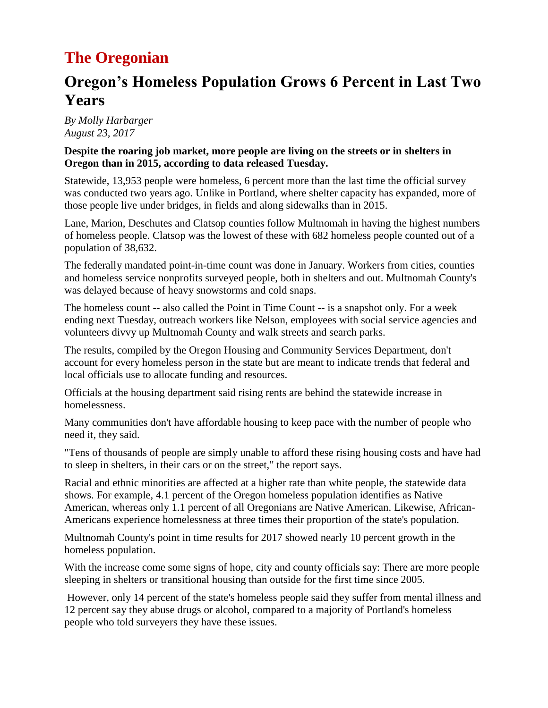# **The Oregonian**

## **Oregon's Homeless Population Grows 6 Percent in Last Two Years**

*By Molly Harbarger August 23, 2017*

### **Despite the roaring job market, more people are living on the streets or in shelters in Oregon than in 2015, according to data released Tuesday.**

Statewide, 13,953 people were homeless, 6 percent more than the last time the official survey was conducted two years ago. Unlike in Portland, where shelter capacity has expanded, more of those people live under bridges, in fields and along sidewalks than in 2015.

Lane, Marion, Deschutes and Clatsop counties follow Multnomah in having the highest numbers of homeless people. Clatsop was the lowest of these with 682 homeless people counted out of a population of 38,632.

The federally mandated point-in-time count was done in January. Workers from cities, counties and homeless service nonprofits surveyed people, both in shelters and out. Multnomah County's was delayed because of heavy snowstorms and cold snaps.

The homeless count -- also called the Point in Time Count -- is a snapshot only. For a week ending next Tuesday, outreach workers like Nelson, employees with social service agencies and volunteers divvy up Multnomah County and walk streets and search parks.

The results, compiled by the Oregon Housing and Community Services Department, don't account for every homeless person in the state but are meant to indicate trends that federal and local officials use to allocate funding and resources.

Officials at the housing department said rising rents are behind the statewide increase in homelessness.

Many communities don't have affordable housing to keep pace with the number of people who need it, they said.

"Tens of thousands of people are simply unable to afford these rising housing costs and have had to sleep in shelters, in their cars or on the street," the report says.

Racial and ethnic minorities are affected at a higher rate than white people, the statewide data shows. For example, 4.1 percent of the Oregon homeless population identifies as Native American, whereas only 1.1 percent of all Oregonians are Native American. Likewise, African-Americans experience homelessness at three times their proportion of the state's population.

Multnomah County's point in time results for 2017 showed nearly 10 percent growth in the homeless population.

With the increase come some signs of hope, city and county officials say: There are more people sleeping in shelters or transitional housing than outside for the first time since 2005.

However, only 14 percent of the state's homeless people said they suffer from mental illness and 12 percent say they abuse drugs or alcohol, compared to a majority of Portland's homeless people who told surveyers they have these issues.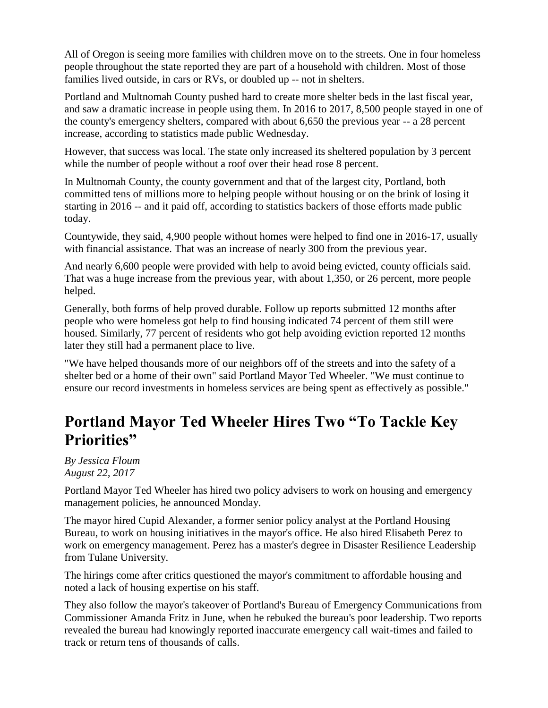All of Oregon is seeing more families with children move on to the streets. One in four homeless people throughout the state reported they are part of a household with children. Most of those families lived outside, in cars or RVs, or doubled up -- not in shelters.

Portland and Multnomah County pushed hard to create more shelter beds in the last fiscal year, and saw a dramatic increase in people using them. In 2016 to 2017, 8,500 people stayed in one of the county's emergency shelters, compared with about 6,650 the previous year -- a 28 percent increase, according to statistics made public Wednesday.

However, that success was local. The state only increased its sheltered population by 3 percent while the number of people without a roof over their head rose 8 percent.

In Multnomah County, the county government and that of the largest city, Portland, both committed tens of millions more to helping people without housing or on the brink of losing it starting in 2016 -- and it paid off, according to statistics backers of those efforts made public today.

Countywide, they said, 4,900 people without homes were helped to find one in 2016-17, usually with financial assistance. That was an increase of nearly 300 from the previous year.

And nearly 6,600 people were provided with help to avoid being evicted, county officials said. That was a huge increase from the previous year, with about 1,350, or 26 percent, more people helped.

Generally, both forms of help proved durable. Follow up reports submitted 12 months after people who were homeless got help to find housing indicated 74 percent of them still were housed. Similarly, 77 percent of residents who got help avoiding eviction reported 12 months later they still had a permanent place to live.

"We have helped thousands more of our neighbors off of the streets and into the safety of a shelter bed or a home of their own" said Portland Mayor Ted Wheeler. "We must continue to ensure our record investments in homeless services are being spent as effectively as possible."

## **Portland Mayor Ted Wheeler Hires Two "To Tackle Key Priorities"**

*By Jessica Floum August 22, 2017*

Portland Mayor Ted Wheeler has hired two policy advisers to work on housing and emergency management policies, he announced Monday.

The mayor hired Cupid Alexander, a former senior policy analyst at the Portland Housing Bureau, to work on housing initiatives in the mayor's office. He also hired Elisabeth Perez to work on emergency management. Perez has a master's degree in Disaster Resilience Leadership from Tulane University.

The hirings come after critics questioned the mayor's commitment to affordable housing and noted a lack of housing expertise on his staff.

They also follow the mayor's takeover of Portland's Bureau of Emergency Communications from Commissioner Amanda Fritz in June, when he rebuked the bureau's poor leadership. Two reports revealed the bureau had knowingly reported inaccurate emergency call wait-times and failed to track or return tens of thousands of calls.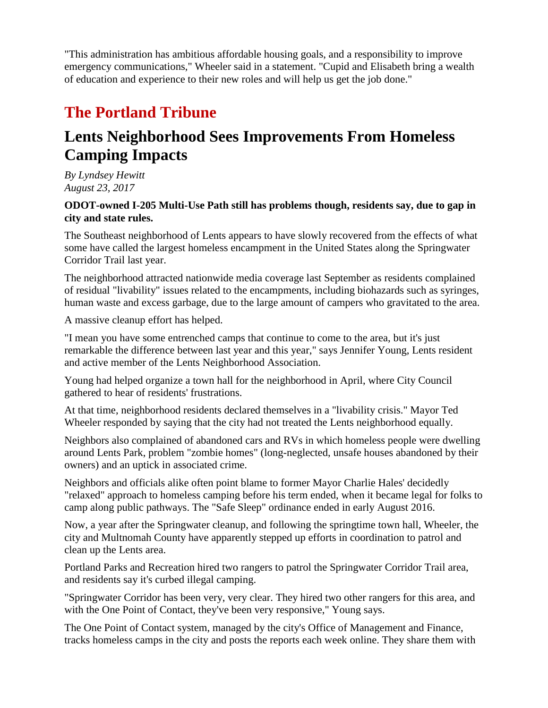"This administration has ambitious affordable housing goals, and a responsibility to improve emergency communications," Wheeler said in a statement. "Cupid and Elisabeth bring a wealth of education and experience to their new roles and will help us get the job done."

# **The Portland Tribune**

# **Lents Neighborhood Sees Improvements From Homeless Camping Impacts**

*By Lyndsey Hewitt August 23, 2017*

#### **ODOT-owned I-205 Multi-Use Path still has problems though, residents say, due to gap in city and state rules.**

The Southeast neighborhood of Lents appears to have slowly recovered from the effects of what some have called the largest homeless encampment in the United States along the Springwater Corridor Trail last year.

The neighborhood attracted nationwide media coverage last September as residents complained of residual "livability" issues related to the encampments, including biohazards such as syringes, human waste and excess garbage, due to the large amount of campers who gravitated to the area.

A massive cleanup effort has helped.

"I mean you have some entrenched camps that continue to come to the area, but it's just remarkable the difference between last year and this year," says Jennifer Young, Lents resident and active member of the Lents Neighborhood Association.

Young had helped organize a town hall for the neighborhood in April, where City Council gathered to hear of residents' frustrations.

At that time, neighborhood residents declared themselves in a "livability crisis." Mayor Ted Wheeler responded by saying that the city had not treated the Lents neighborhood equally.

Neighbors also complained of abandoned cars and RVs in which homeless people were dwelling around Lents Park, problem "zombie homes" (long-neglected, unsafe houses abandoned by their owners) and an uptick in associated crime.

Neighbors and officials alike often point blame to former Mayor Charlie Hales' decidedly "relaxed" approach to homeless camping before his term ended, when it became legal for folks to camp along public pathways. The "Safe Sleep" ordinance ended in early August 2016.

Now, a year after the Springwater cleanup, and following the springtime town hall, Wheeler, the city and Multnomah County have apparently stepped up efforts in coordination to patrol and clean up the Lents area.

Portland Parks and Recreation hired two rangers to patrol the Springwater Corridor Trail area, and residents say it's curbed illegal camping.

"Springwater Corridor has been very, very clear. They hired two other rangers for this area, and with the One Point of Contact, they've been very responsive," Young says.

The One Point of Contact system, managed by the city's Office of Management and Finance, tracks homeless camps in the city and posts the reports each week online. They share them with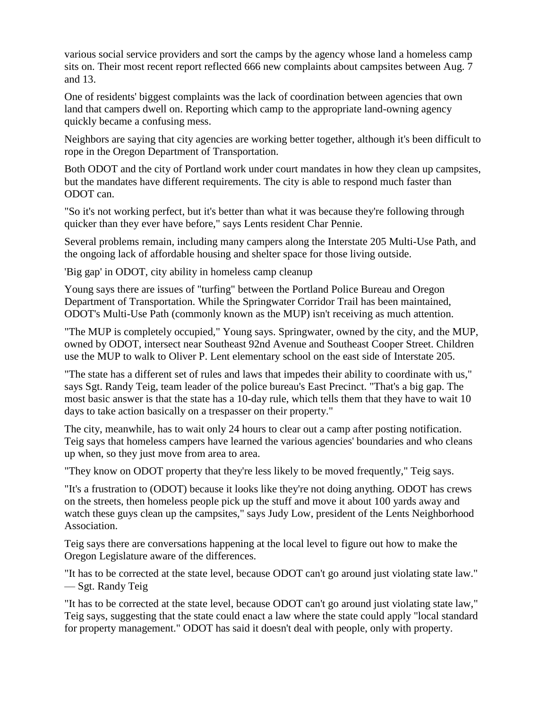various social service providers and sort the camps by the agency whose land a homeless camp sits on. Their most recent report reflected 666 new complaints about campsites between Aug. 7 and 13.

One of residents' biggest complaints was the lack of coordination between agencies that own land that campers dwell on. Reporting which camp to the appropriate land-owning agency quickly became a confusing mess.

Neighbors are saying that city agencies are working better together, although it's been difficult to rope in the Oregon Department of Transportation.

Both ODOT and the city of Portland work under court mandates in how they clean up campsites, but the mandates have different requirements. The city is able to respond much faster than ODOT can.

"So it's not working perfect, but it's better than what it was because they're following through quicker than they ever have before," says Lents resident Char Pennie.

Several problems remain, including many campers along the Interstate 205 Multi-Use Path, and the ongoing lack of affordable housing and shelter space for those living outside.

'Big gap' in ODOT, city ability in homeless camp cleanup

Young says there are issues of "turfing" between the Portland Police Bureau and Oregon Department of Transportation. While the Springwater Corridor Trail has been maintained, ODOT's Multi-Use Path (commonly known as the MUP) isn't receiving as much attention.

"The MUP is completely occupied," Young says. Springwater, owned by the city, and the MUP, owned by ODOT, intersect near Southeast 92nd Avenue and Southeast Cooper Street. Children use the MUP to walk to Oliver P. Lent elementary school on the east side of Interstate 205.

"The state has a different set of rules and laws that impedes their ability to coordinate with us," says Sgt. Randy Teig, team leader of the police bureau's East Precinct. "That's a big gap. The most basic answer is that the state has a 10-day rule, which tells them that they have to wait 10 days to take action basically on a trespasser on their property."

The city, meanwhile, has to wait only 24 hours to clear out a camp after posting notification. Teig says that homeless campers have learned the various agencies' boundaries and who cleans up when, so they just move from area to area.

"They know on ODOT property that they're less likely to be moved frequently," Teig says.

"It's a frustration to (ODOT) because it looks like they're not doing anything. ODOT has crews on the streets, then homeless people pick up the stuff and move it about 100 yards away and watch these guys clean up the campsites," says Judy Low, president of the Lents Neighborhood Association.

Teig says there are conversations happening at the local level to figure out how to make the Oregon Legislature aware of the differences.

"It has to be corrected at the state level, because ODOT can't go around just violating state law." — Sgt. Randy Teig

"It has to be corrected at the state level, because ODOT can't go around just violating state law," Teig says, suggesting that the state could enact a law where the state could apply "local standard for property management." ODOT has said it doesn't deal with people, only with property.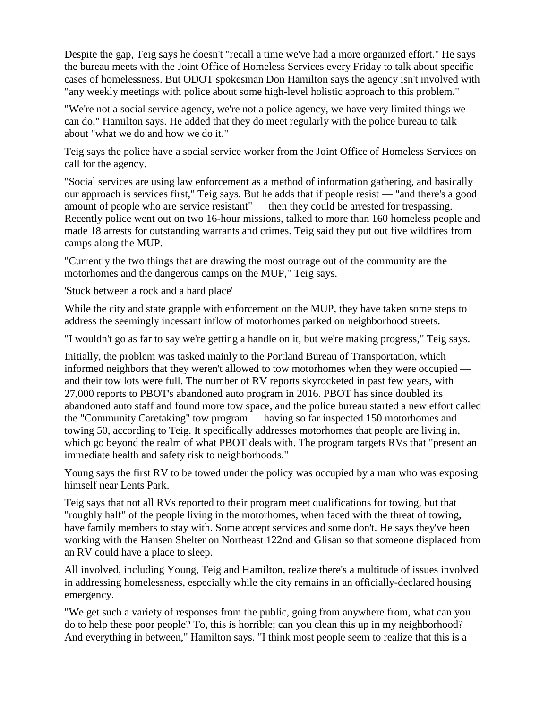Despite the gap, Teig says he doesn't "recall a time we've had a more organized effort." He says the bureau meets with the Joint Office of Homeless Services every Friday to talk about specific cases of homelessness. But ODOT spokesman Don Hamilton says the agency isn't involved with "any weekly meetings with police about some high-level holistic approach to this problem."

"We're not a social service agency, we're not a police agency, we have very limited things we can do," Hamilton says. He added that they do meet regularly with the police bureau to talk about "what we do and how we do it."

Teig says the police have a social service worker from the Joint Office of Homeless Services on call for the agency.

"Social services are using law enforcement as a method of information gathering, and basically our approach is services first," Teig says. But he adds that if people resist — "and there's a good amount of people who are service resistant" — then they could be arrested for trespassing. Recently police went out on two 16-hour missions, talked to more than 160 homeless people and made 18 arrests for outstanding warrants and crimes. Teig said they put out five wildfires from camps along the MUP.

"Currently the two things that are drawing the most outrage out of the community are the motorhomes and the dangerous camps on the MUP," Teig says.

'Stuck between a rock and a hard place'

While the city and state grapple with enforcement on the MUP, they have taken some steps to address the seemingly incessant inflow of motorhomes parked on neighborhood streets.

"I wouldn't go as far to say we're getting a handle on it, but we're making progress," Teig says.

Initially, the problem was tasked mainly to the Portland Bureau of Transportation, which informed neighbors that they weren't allowed to tow motorhomes when they were occupied and their tow lots were full. The number of RV reports skyrocketed in past few years, with 27,000 reports to PBOT's abandoned auto program in 2016. PBOT has since doubled its abandoned auto staff and found more tow space, and the police bureau started a new effort called the "Community Caretaking" tow program — having so far inspected 150 motorhomes and towing 50, according to Teig. It specifically addresses motorhomes that people are living in, which go beyond the realm of what PBOT deals with. The program targets RVs that "present an immediate health and safety risk to neighborhoods."

Young says the first RV to be towed under the policy was occupied by a man who was exposing himself near Lents Park.

Teig says that not all RVs reported to their program meet qualifications for towing, but that "roughly half" of the people living in the motorhomes, when faced with the threat of towing, have family members to stay with. Some accept services and some don't. He says they've been working with the Hansen Shelter on Northeast 122nd and Glisan so that someone displaced from an RV could have a place to sleep.

All involved, including Young, Teig and Hamilton, realize there's a multitude of issues involved in addressing homelessness, especially while the city remains in an officially-declared housing emergency.

"We get such a variety of responses from the public, going from anywhere from, what can you do to help these poor people? To, this is horrible; can you clean this up in my neighborhood? And everything in between," Hamilton says. "I think most people seem to realize that this is a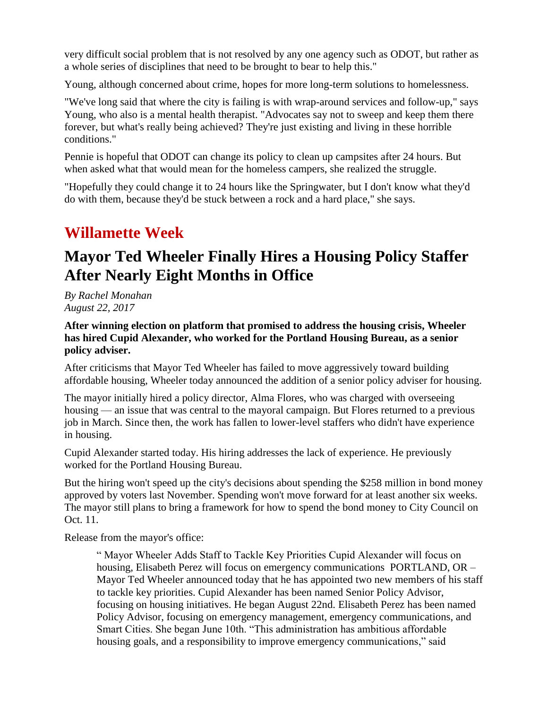very difficult social problem that is not resolved by any one agency such as ODOT, but rather as a whole series of disciplines that need to be brought to bear to help this."

Young, although concerned about crime, hopes for more long-term solutions to homelessness.

"We've long said that where the city is failing is with wrap-around services and follow-up," says Young, who also is a mental health therapist. "Advocates say not to sweep and keep them there forever, but what's really being achieved? They're just existing and living in these horrible conditions."

Pennie is hopeful that ODOT can change its policy to clean up campsites after 24 hours. But when asked what that would mean for the homeless campers, she realized the struggle.

"Hopefully they could change it to 24 hours like the Springwater, but I don't know what they'd do with them, because they'd be stuck between a rock and a hard place," she says.

### **Willamette Week**

## **Mayor Ted Wheeler Finally Hires a Housing Policy Staffer After Nearly Eight Months in Office**

*By Rachel Monahan August 22, 2017*

**After winning election on platform that promised to address the housing crisis, Wheeler has hired Cupid Alexander, who worked for the Portland Housing Bureau, as a senior policy adviser.**

After criticisms that Mayor Ted Wheeler has failed to move aggressively toward building affordable housing, Wheeler today announced the addition of a senior policy adviser for housing.

The mayor initially hired a policy director, Alma Flores, who was charged with overseeing housing — an issue that was central to the mayoral campaign. But Flores returned to a previous job in March. Since then, the work has fallen to lower-level staffers who didn't have experience in housing.

Cupid Alexander started today. His hiring addresses the lack of experience. He previously worked for the Portland Housing Bureau.

But the hiring won't speed up the city's decisions about spending the \$258 million in bond money approved by voters last November. Spending won't move forward for at least another six weeks. The mayor still plans to bring a framework for how to spend the bond money to City Council on Oct. 11.

Release from the mayor's office:

" Mayor Wheeler Adds Staff to Tackle Key Priorities Cupid Alexander will focus on housing, Elisabeth Perez will focus on emergency communications PORTLAND, OR – Mayor Ted Wheeler announced today that he has appointed two new members of his staff to tackle key priorities. Cupid Alexander has been named Senior Policy Advisor, focusing on housing initiatives. He began August 22nd. Elisabeth Perez has been named Policy Advisor, focusing on emergency management, emergency communications, and Smart Cities. She began June 10th. "This administration has ambitious affordable housing goals, and a responsibility to improve emergency communications," said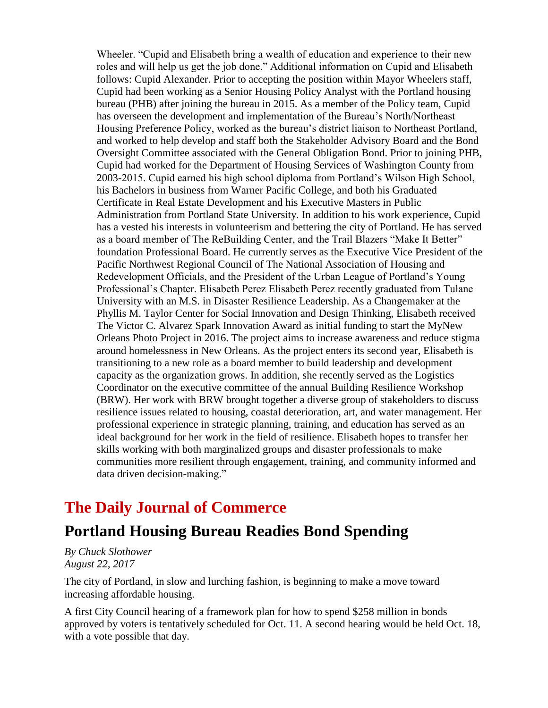Wheeler. "Cupid and Elisabeth bring a wealth of education and experience to their new roles and will help us get the job done." Additional information on Cupid and Elisabeth follows: Cupid Alexander. Prior to accepting the position within Mayor Wheelers staff, Cupid had been working as a Senior Housing Policy Analyst with the Portland housing bureau (PHB) after joining the bureau in 2015. As a member of the Policy team, Cupid has overseen the development and implementation of the Bureau's North/Northeast Housing Preference Policy, worked as the bureau's district liaison to Northeast Portland, and worked to help develop and staff both the Stakeholder Advisory Board and the Bond Oversight Committee associated with the General Obligation Bond. Prior to joining PHB, Cupid had worked for the Department of Housing Services of Washington County from 2003-2015. Cupid earned his high school diploma from Portland's Wilson High School, his Bachelors in business from Warner Pacific College, and both his Graduated Certificate in Real Estate Development and his Executive Masters in Public Administration from Portland State University. In addition to his work experience, Cupid has a vested his interests in volunteerism and bettering the city of Portland. He has served as a board member of The ReBuilding Center, and the Trail Blazers "Make It Better" foundation Professional Board. He currently serves as the Executive Vice President of the Pacific Northwest Regional Council of The National Association of Housing and Redevelopment Officials, and the President of the Urban League of Portland's Young Professional's Chapter. Elisabeth Perez Elisabeth Perez recently graduated from Tulane University with an M.S. in Disaster Resilience Leadership. As a Changemaker at the Phyllis M. Taylor Center for Social Innovation and Design Thinking, Elisabeth received The Victor C. Alvarez Spark Innovation Award as initial funding to start the MyNew Orleans Photo Project in 2016. The project aims to increase awareness and reduce stigma around homelessness in New Orleans. As the project enters its second year, Elisabeth is transitioning to a new role as a board member to build leadership and development capacity as the organization grows. In addition, she recently served as the Logistics Coordinator on the executive committee of the annual Building Resilience Workshop (BRW). Her work with BRW brought together a diverse group of stakeholders to discuss resilience issues related to housing, coastal deterioration, art, and water management. Her professional experience in strategic planning, training, and education has served as an ideal background for her work in the field of resilience. Elisabeth hopes to transfer her skills working with both marginalized groups and disaster professionals to make communities more resilient through engagement, training, and community informed and data driven decision-making."

## **The Daily Journal of Commerce**

## **Portland Housing Bureau Readies Bond Spending**

*By Chuck Slothower August 22, 2017*

The city of Portland, in slow and lurching fashion, is beginning to make a move toward increasing affordable housing.

A first City Council hearing of a framework plan for how to spend \$258 million in bonds approved by voters is tentatively scheduled for Oct. 11. A second hearing would be held Oct. 18, with a vote possible that day.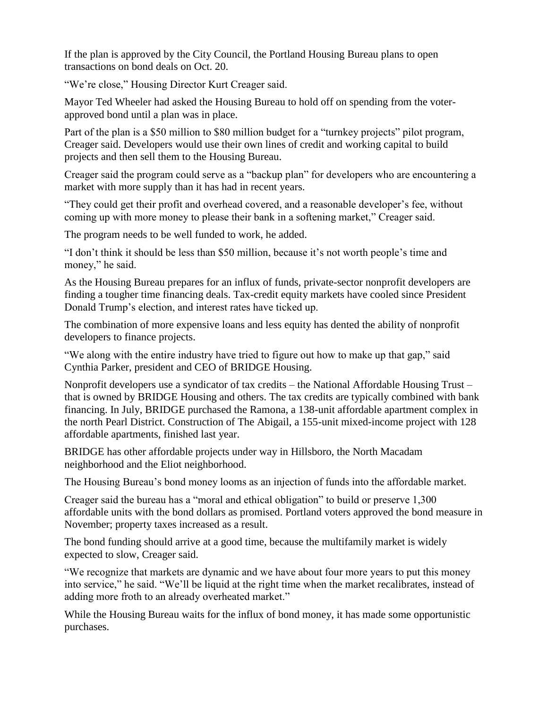If the plan is approved by the City Council, the Portland Housing Bureau plans to open transactions on bond deals on Oct. 20.

"We're close," Housing Director Kurt Creager said.

Mayor Ted Wheeler had asked the Housing Bureau to hold off on spending from the voterapproved bond until a plan was in place.

Part of the plan is a \$50 million to \$80 million budget for a "turnkey projects" pilot program, Creager said. Developers would use their own lines of credit and working capital to build projects and then sell them to the Housing Bureau.

Creager said the program could serve as a "backup plan" for developers who are encountering a market with more supply than it has had in recent years.

"They could get their profit and overhead covered, and a reasonable developer's fee, without coming up with more money to please their bank in a softening market," Creager said.

The program needs to be well funded to work, he added.

"I don't think it should be less than \$50 million, because it's not worth people's time and money," he said.

As the Housing Bureau prepares for an influx of funds, private-sector nonprofit developers are finding a tougher time financing deals. Tax-credit equity markets have cooled since President Donald Trump's election, and interest rates have ticked up.

The combination of more expensive loans and less equity has dented the ability of nonprofit developers to finance projects.

"We along with the entire industry have tried to figure out how to make up that gap," said Cynthia Parker, president and CEO of BRIDGE Housing.

Nonprofit developers use a syndicator of tax credits – the National Affordable Housing Trust – that is owned by BRIDGE Housing and others. The tax credits are typically combined with bank financing. In July, BRIDGE purchased the Ramona, a 138-unit affordable apartment complex in the north Pearl District. Construction of The Abigail, a 155-unit mixed-income project with 128 affordable apartments, finished last year.

BRIDGE has other affordable projects under way in Hillsboro, the North Macadam neighborhood and the Eliot neighborhood.

The Housing Bureau's bond money looms as an injection of funds into the affordable market.

Creager said the bureau has a "moral and ethical obligation" to build or preserve 1,300 affordable units with the bond dollars as promised. Portland voters approved the bond measure in November; property taxes increased as a result.

The bond funding should arrive at a good time, because the multifamily market is widely expected to slow, Creager said.

"We recognize that markets are dynamic and we have about four more years to put this money into service," he said. "We'll be liquid at the right time when the market recalibrates, instead of adding more froth to an already overheated market."

While the Housing Bureau waits for the influx of bond money, it has made some opportunistic purchases.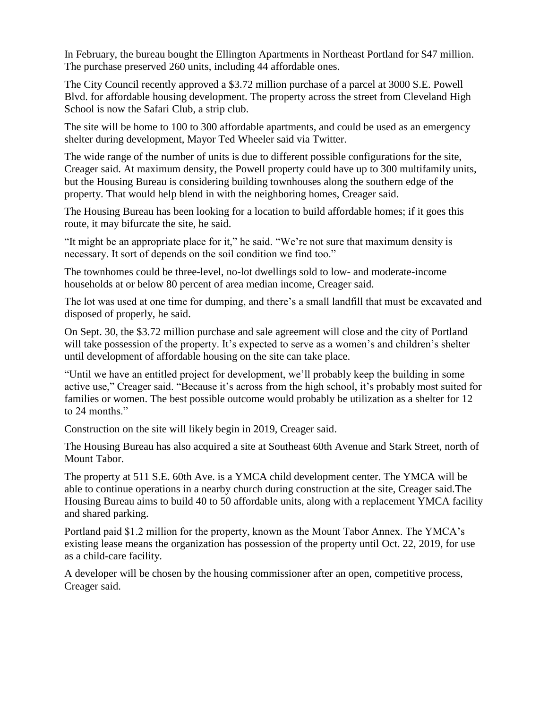In February, the bureau bought the Ellington Apartments in Northeast Portland for \$47 million. The purchase preserved 260 units, including 44 affordable ones.

The City Council recently approved a \$3.72 million purchase of a parcel at 3000 S.E. Powell Blvd. for affordable housing development. The property across the street from Cleveland High School is now the Safari Club, a strip club.

The site will be home to 100 to 300 affordable apartments, and could be used as an emergency shelter during development, Mayor Ted Wheeler said via Twitter.

The wide range of the number of units is due to different possible configurations for the site, Creager said. At maximum density, the Powell property could have up to 300 multifamily units, but the Housing Bureau is considering building townhouses along the southern edge of the property. That would help blend in with the neighboring homes, Creager said.

The Housing Bureau has been looking for a location to build affordable homes; if it goes this route, it may bifurcate the site, he said.

"It might be an appropriate place for it," he said. "We're not sure that maximum density is necessary. It sort of depends on the soil condition we find too."

The townhomes could be three-level, no-lot dwellings sold to low- and moderate-income households at or below 80 percent of area median income, Creager said.

The lot was used at one time for dumping, and there's a small landfill that must be excavated and disposed of properly, he said.

On Sept. 30, the \$3.72 million purchase and sale agreement will close and the city of Portland will take possession of the property. It's expected to serve as a women's and children's shelter until development of affordable housing on the site can take place.

"Until we have an entitled project for development, we'll probably keep the building in some active use," Creager said. "Because it's across from the high school, it's probably most suited for families or women. The best possible outcome would probably be utilization as a shelter for 12 to 24 months."

Construction on the site will likely begin in 2019, Creager said.

The Housing Bureau has also acquired a site at Southeast 60th Avenue and Stark Street, north of Mount Tabor.

The property at 511 S.E. 60th Ave. is a YMCA child development center. The YMCA will be able to continue operations in a nearby church during construction at the site, Creager said.The Housing Bureau aims to build 40 to 50 affordable units, along with a replacement YMCA facility and shared parking.

Portland paid \$1.2 million for the property, known as the Mount Tabor Annex. The YMCA's existing lease means the organization has possession of the property until Oct. 22, 2019, for use as a child-care facility.

A developer will be chosen by the housing commissioner after an open, competitive process, Creager said.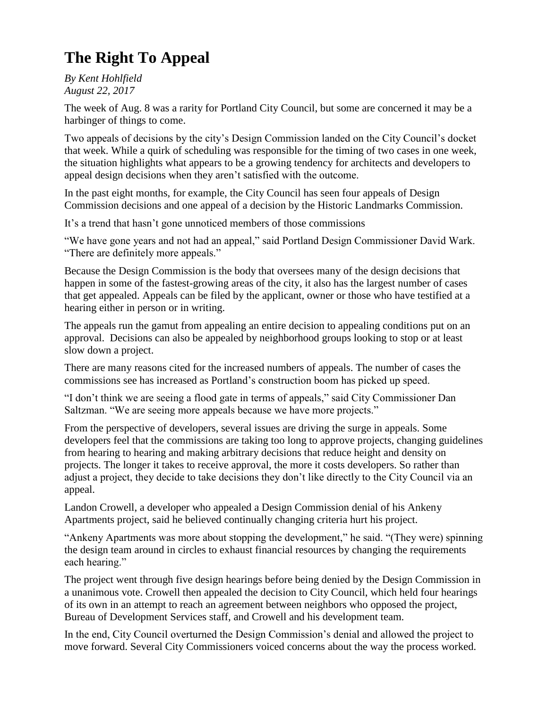# **The Right To Appeal**

*By Kent Hohlfield August 22, 2017*

The week of Aug. 8 was a rarity for Portland City Council, but some are concerned it may be a harbinger of things to come.

Two appeals of decisions by the city's Design Commission landed on the City Council's docket that week. While a quirk of scheduling was responsible for the timing of two cases in one week, the situation highlights what appears to be a growing tendency for architects and developers to appeal design decisions when they aren't satisfied with the outcome.

In the past eight months, for example, the City Council has seen four appeals of Design Commission decisions and one appeal of a decision by the Historic Landmarks Commission.

It's a trend that hasn't gone unnoticed members of those commissions

"We have gone years and not had an appeal," said Portland Design Commissioner David Wark. "There are definitely more appeals."

Because the Design Commission is the body that oversees many of the design decisions that happen in some of the fastest-growing areas of the city, it also has the largest number of cases that get appealed. Appeals can be filed by the applicant, owner or those who have testified at a hearing either in person or in writing.

The appeals run the gamut from appealing an entire decision to appealing conditions put on an approval. Decisions can also be appealed by neighborhood groups looking to stop or at least slow down a project.

There are many reasons cited for the increased numbers of appeals. The number of cases the commissions see has increased as Portland's construction boom has picked up speed.

"I don't think we are seeing a flood gate in terms of appeals," said City Commissioner Dan Saltzman. "We are seeing more appeals because we have more projects."

From the perspective of developers, several issues are driving the surge in appeals. Some developers feel that the commissions are taking too long to approve projects, changing guidelines from hearing to hearing and making arbitrary decisions that reduce height and density on projects. The longer it takes to receive approval, the more it costs developers. So rather than adjust a project, they decide to take decisions they don't like directly to the City Council via an appeal.

Landon Crowell, a developer who appealed a Design Commission denial of his Ankeny Apartments project, said he believed continually changing criteria hurt his project.

"Ankeny Apartments was more about stopping the development," he said. "(They were) spinning the design team around in circles to exhaust financial resources by changing the requirements each hearing."

The project went through five design hearings before being denied by the Design Commission in a unanimous vote. Crowell then appealed the decision to City Council, which held four hearings of its own in an attempt to reach an agreement between neighbors who opposed the project, Bureau of Development Services staff, and Crowell and his development team.

In the end, City Council overturned the Design Commission's denial and allowed the project to move forward. Several City Commissioners voiced concerns about the way the process worked.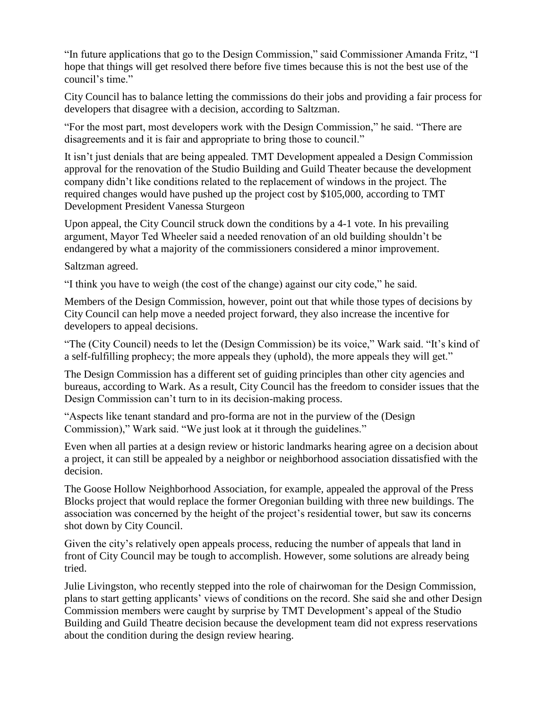"In future applications that go to the Design Commission," said Commissioner Amanda Fritz, "I hope that things will get resolved there before five times because this is not the best use of the council's time."

City Council has to balance letting the commissions do their jobs and providing a fair process for developers that disagree with a decision, according to Saltzman.

"For the most part, most developers work with the Design Commission," he said. "There are disagreements and it is fair and appropriate to bring those to council."

It isn't just denials that are being appealed. TMT Development appealed a Design Commission approval for the renovation of the Studio Building and Guild Theater because the development company didn't like conditions related to the replacement of windows in the project. The required changes would have pushed up the project cost by \$105,000, according to TMT Development President Vanessa Sturgeon

Upon appeal, the City Council struck down the conditions by a 4-1 vote. In his prevailing argument, Mayor Ted Wheeler said a needed renovation of an old building shouldn't be endangered by what a majority of the commissioners considered a minor improvement.

Saltzman agreed.

"I think you have to weigh (the cost of the change) against our city code," he said.

Members of the Design Commission, however, point out that while those types of decisions by City Council can help move a needed project forward, they also increase the incentive for developers to appeal decisions.

"The (City Council) needs to let the (Design Commission) be its voice," Wark said. "It's kind of a self-fulfilling prophecy; the more appeals they (uphold), the more appeals they will get."

The Design Commission has a different set of guiding principles than other city agencies and bureaus, according to Wark. As a result, City Council has the freedom to consider issues that the Design Commission can't turn to in its decision-making process.

"Aspects like tenant standard and pro-forma are not in the purview of the (Design Commission)," Wark said. "We just look at it through the guidelines."

Even when all parties at a design review or historic landmarks hearing agree on a decision about a project, it can still be appealed by a neighbor or neighborhood association dissatisfied with the decision.

The Goose Hollow Neighborhood Association, for example, appealed the approval of the Press Blocks project that would replace the former Oregonian building with three new buildings. The association was concerned by the height of the project's residential tower, but saw its concerns shot down by City Council.

Given the city's relatively open appeals process, reducing the number of appeals that land in front of City Council may be tough to accomplish. However, some solutions are already being tried.

Julie Livingston, who recently stepped into the role of chairwoman for the Design Commission, plans to start getting applicants' views of conditions on the record. She said she and other Design Commission members were caught by surprise by TMT Development's appeal of the Studio Building and Guild Theatre decision because the development team did not express reservations about the condition during the design review hearing.